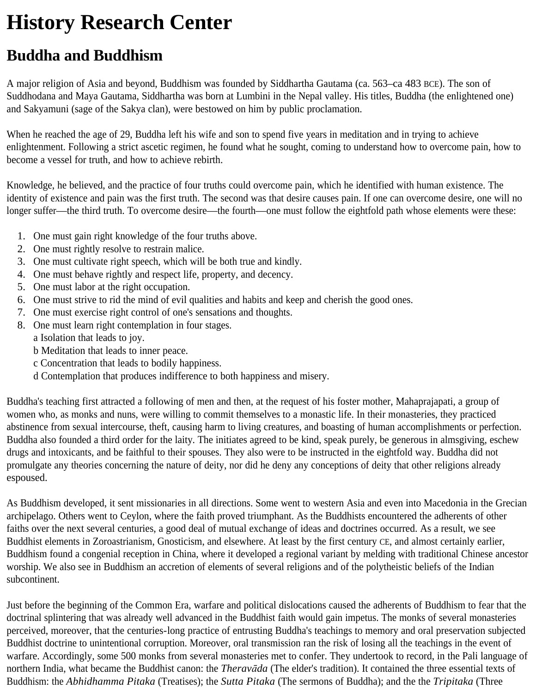## **History Research Center**

## **Buddha and Buddhism**

A major religion of Asia and beyond, Buddhism was founded by Siddhartha Gautama (ca. 563–ca 483 BCE). The son of Suddhodana and Maya Gautama, Siddhartha was born at Lumbini in the Nepal valley. His titles, Buddha (the enlightened one) and Sakyamuni (sage of the Sakya clan), were bestowed on him by public proclamation.

When he reached the age of 29, Buddha left his wife and son to spend five years in meditation and in trying to achieve enlightenment. Following a strict ascetic regimen, he found what he sought, coming to understand how to overcome pain, how to become a vessel for truth, and how to achieve rebirth.

Knowledge, he believed, and the practice of four truths could overcome pain, which he identified with human existence. The identity of existence and pain was the first truth. The second was that desire causes pain. If one can overcome desire, one will no longer suffer—the third truth. To overcome desire—the fourth—one must follow the eightfold path whose elements were these:

- 1. One must gain right knowledge of the four truths above.
- 2. One must rightly resolve to restrain malice.
- 3. One must cultivate right speech, which will be both true and kindly.
- 4. One must behave rightly and respect life, property, and decency.
- 5. One must labor at the right occupation.
- 6. One must strive to rid the mind of evil qualities and habits and keep and cherish the good ones.
- 7. One must exercise right control of one's sensations and thoughts.
- 8. One must learn right contemplation in four stages. a Isolation that leads to joy.
	- b Meditation that leads to inner peace.
	- c Concentration that leads to bodily happiness.
	- d Contemplation that produces indifference to both happiness and misery.

Buddha's teaching first attracted a following of men and then, at the request of his foster mother, Mahaprajapati, a group of women who, as monks and nuns, were willing to commit themselves to a monastic life. In their monasteries, they practiced abstinence from sexual intercourse, theft, causing harm to living creatures, and boasting of human accomplishments or perfection. Buddha also founded a third order for the laity. The initiates agreed to be kind, speak purely, be generous in almsgiving, eschew drugs and intoxicants, and be faithful to their spouses. They also were to be instructed in the eightfold way. Buddha did not promulgate any theories concerning the nature of deity, nor did he deny any conceptions of deity that other religions already espoused.

As Buddhism developed, it sent missionaries in all directions. Some went to western Asia and even into Macedonia in the Grecian archipelago. Others went to Ceylon, where the faith proved triumphant. As the Buddhists encountered the adherents of other faiths over the next several centuries, a good deal of mutual exchange of ideas and doctrines occurred. As a result, we see Buddhist elements in Zoroastrianism, Gnosticism, and elsewhere. At least by the first century CE, and almost certainly earlier, Buddhism found a congenial reception in China, where it developed a regional variant by melding with traditional Chinese ancestor worship. We also see in Buddhism an accretion of elements of several religions and of the polytheistic beliefs of the Indian subcontinent.

Just before the beginning of the Common Era, warfare and political dislocations caused the adherents of Buddhism to fear that the doctrinal splintering that was already well advanced in the Buddhist faith would gain impetus. The monks of several monasteries perceived, moreover, that the centuries-long practice of entrusting Buddha's teachings to memory and oral preservation subjected Buddhist doctrine to unintentional corruption. Moreover, oral transmission ran the risk of losing all the teachings in the event of warfare. Accordingly, some 500 monks from several monasteries met to confer. They undertook to record, in the Pali language of northern India, what became the Buddhist canon: the *Theravāda* (The elder's tradition). It contained the three essential texts of Buddhism: the *Abhidhamma Pitaka* (Treatises); the *Sutta Pitaka* (The sermons of Buddha); and the the *Tripitaka* (Three